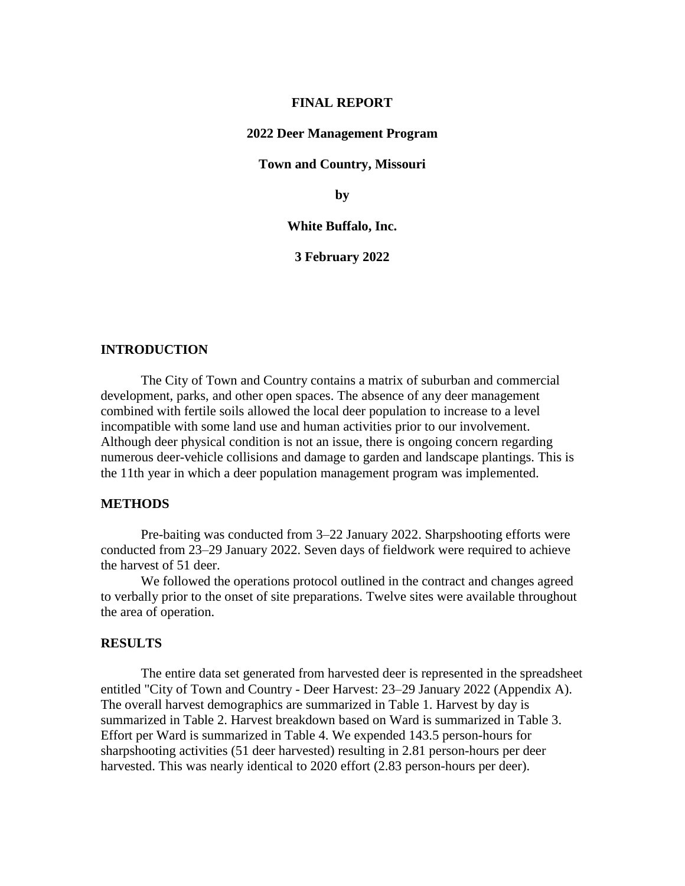#### **FINAL REPORT**

#### **2022 Deer Management Program**

#### **Town and Country, Missouri**

**by**

#### **White Buffalo, Inc.**

**3 February 2022**

## **INTRODUCTION**

The City of Town and Country contains a matrix of suburban and commercial development, parks, and other open spaces. The absence of any deer management combined with fertile soils allowed the local deer population to increase to a level incompatible with some land use and human activities prior to our involvement. Although deer physical condition is not an issue, there is ongoing concern regarding numerous deer-vehicle collisions and damage to garden and landscape plantings. This is the 11th year in which a deer population management program was implemented.

### **METHODS**

Pre-baiting was conducted from 3–22 January 2022. Sharpshooting efforts were conducted from 23–29 January 2022. Seven days of fieldwork were required to achieve the harvest of 51 deer.

We followed the operations protocol outlined in the contract and changes agreed to verbally prior to the onset of site preparations. Twelve sites were available throughout the area of operation.

### **RESULTS**

The entire data set generated from harvested deer is represented in the spreadsheet entitled "City of Town and Country - Deer Harvest: 23–29 January 2022 (Appendix A). The overall harvest demographics are summarized in Table 1. Harvest by day is summarized in Table 2. Harvest breakdown based on Ward is summarized in Table 3. Effort per Ward is summarized in Table 4. We expended 143.5 person-hours for sharpshooting activities (51 deer harvested) resulting in 2.81 person-hours per deer harvested. This was nearly identical to 2020 effort (2.83 person-hours per deer).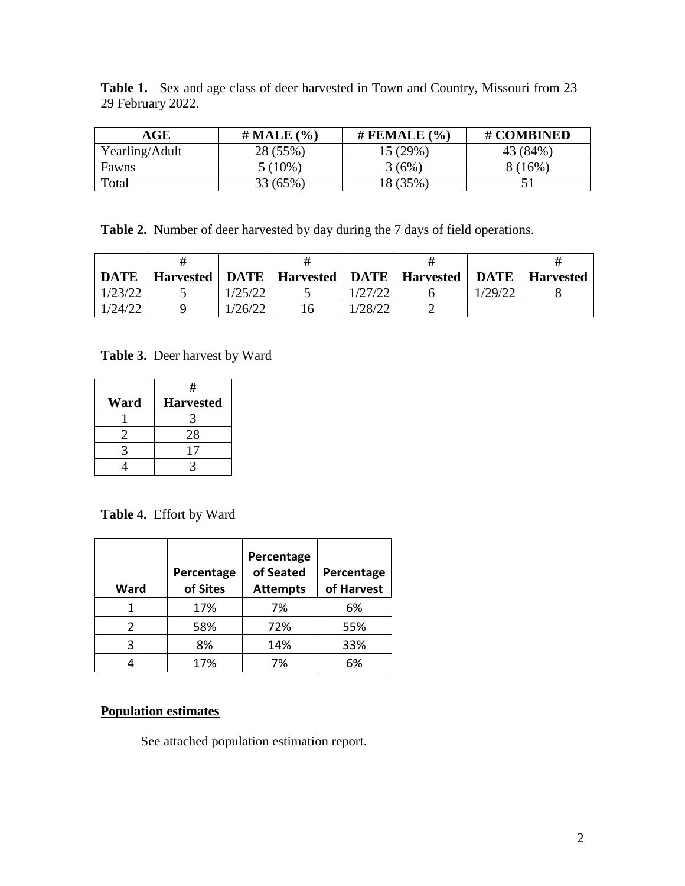**Table 1.** Sex and age class of deer harvested in Town and Country, Missouri from 23– 29 February 2022.

| AGE            | $#$ MALE $(\% )$ | # FEMALE $(\% )$ | # COMBINED |
|----------------|------------------|------------------|------------|
| Yearling/Adult | 28 (55%)         | $15(29\%)$       | 43 (84%)   |
| Fawns          | 5 (10%)          | $3(6\%)$         | $16\%$     |
| Total          | 33 (65%)         | 18 (35%)         |            |

**Table 2.** Number of deer harvested by day during the 7 days of field operations.

| <b>DATE</b> |         | Harvested   DATE   Harvested   DATE   Harvested |         | DATE    | Harvested |
|-------------|---------|-------------------------------------------------|---------|---------|-----------|
| 1/23/22     | 1/25/22 |                                                 | 1/27/22 | 1/29/22 |           |
| 1/24/22     | 1/26/22 | 16                                              | /28/22  |         |           |

**Table 3.** Deer harvest by Ward

|      | #                |
|------|------------------|
| Ward | <b>Harvested</b> |
|      |                  |
|      | 28               |
|      |                  |
|      |                  |

**Table 4.** Effort by Ward

| Ward | Percentage<br>of Sites | Percentage<br>of Seated<br><b>Attempts</b> | Percentage<br>of Harvest |
|------|------------------------|--------------------------------------------|--------------------------|
|      | 17%                    | 7%                                         | 6%                       |
|      | 58%                    | 72%                                        | 55%                      |
| ς    | 8%                     | 14%                                        | 33%                      |
|      | 17%                    | 7%                                         | 6%                       |

# **Population estimates**

See attached population estimation report.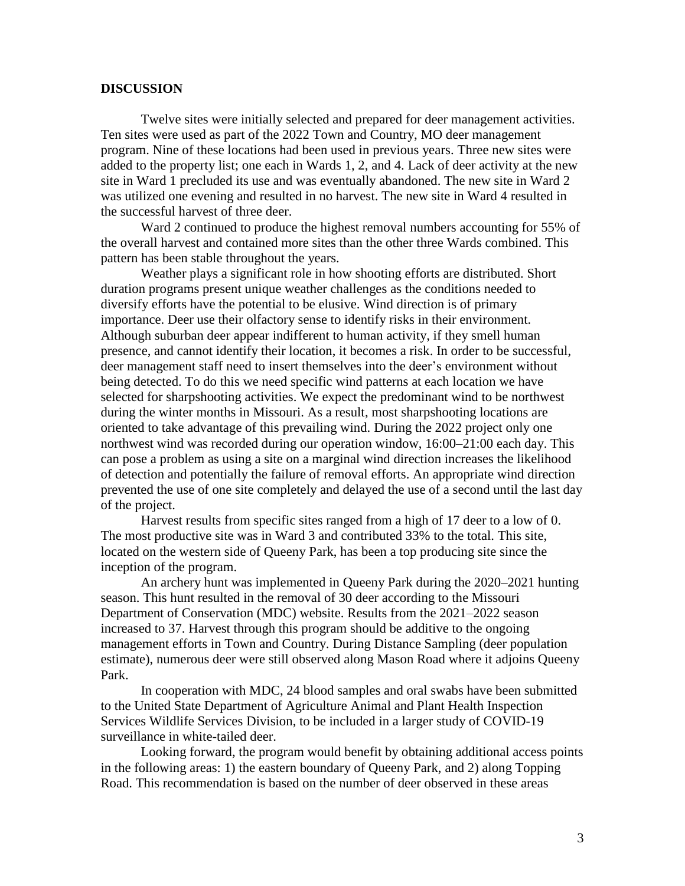# **DISCUSSION**

Twelve sites were initially selected and prepared for deer management activities. Ten sites were used as part of the 2022 Town and Country, MO deer management program. Nine of these locations had been used in previous years. Three new sites were added to the property list; one each in Wards 1, 2, and 4. Lack of deer activity at the new site in Ward 1 precluded its use and was eventually abandoned. The new site in Ward 2 was utilized one evening and resulted in no harvest. The new site in Ward 4 resulted in the successful harvest of three deer.

Ward 2 continued to produce the highest removal numbers accounting for 55% of the overall harvest and contained more sites than the other three Wards combined. This pattern has been stable throughout the years.

Weather plays a significant role in how shooting efforts are distributed. Short duration programs present unique weather challenges as the conditions needed to diversify efforts have the potential to be elusive. Wind direction is of primary importance. Deer use their olfactory sense to identify risks in their environment. Although suburban deer appear indifferent to human activity, if they smell human presence, and cannot identify their location, it becomes a risk. In order to be successful, deer management staff need to insert themselves into the deer's environment without being detected. To do this we need specific wind patterns at each location we have selected for sharpshooting activities. We expect the predominant wind to be northwest during the winter months in Missouri. As a result, most sharpshooting locations are oriented to take advantage of this prevailing wind. During the 2022 project only one northwest wind was recorded during our operation window, 16:00–21:00 each day. This can pose a problem as using a site on a marginal wind direction increases the likelihood of detection and potentially the failure of removal efforts. An appropriate wind direction prevented the use of one site completely and delayed the use of a second until the last day of the project.

Harvest results from specific sites ranged from a high of 17 deer to a low of 0. The most productive site was in Ward 3 and contributed 33% to the total. This site, located on the western side of Queeny Park, has been a top producing site since the inception of the program.

An archery hunt was implemented in Queeny Park during the 2020–2021 hunting season. This hunt resulted in the removal of 30 deer according to the Missouri Department of Conservation (MDC) website. Results from the 2021–2022 season increased to 37. Harvest through this program should be additive to the ongoing management efforts in Town and Country. During Distance Sampling (deer population estimate), numerous deer were still observed along Mason Road where it adjoins Queeny Park.

In cooperation with MDC, 24 blood samples and oral swabs have been submitted to the United State Department of Agriculture Animal and Plant Health Inspection Services Wildlife Services Division, to be included in a larger study of COVID-19 surveillance in white-tailed deer.

Looking forward, the program would benefit by obtaining additional access points in the following areas: 1) the eastern boundary of Queeny Park, and 2) along Topping Road. This recommendation is based on the number of deer observed in these areas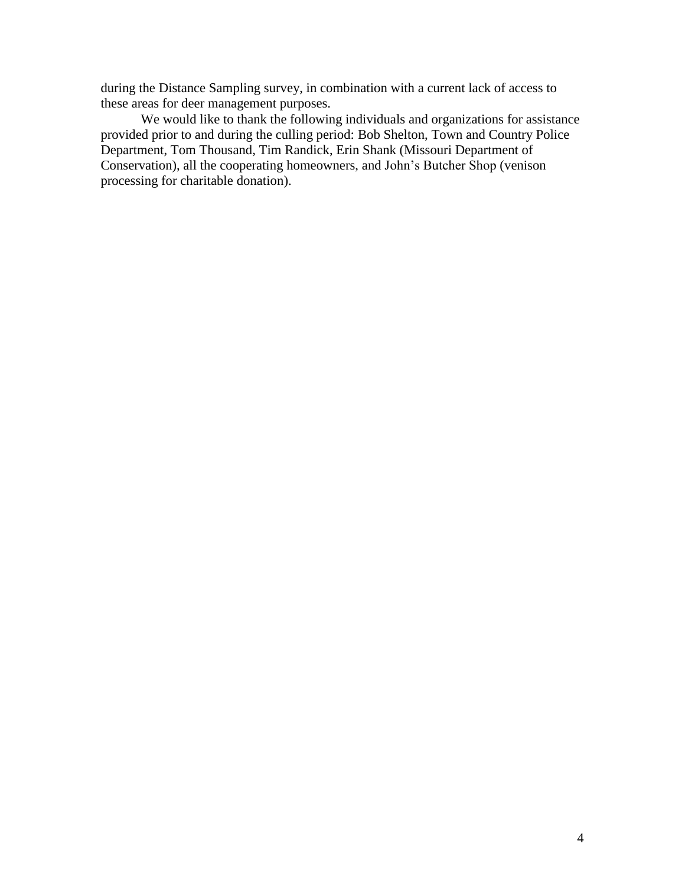during the Distance Sampling survey, in combination with a current lack of access to these areas for deer management purposes.

We would like to thank the following individuals and organizations for assistance provided prior to and during the culling period: Bob Shelton, Town and Country Police Department, Tom Thousand, Tim Randick, Erin Shank (Missouri Department of Conservation), all the cooperating homeowners, and John's Butcher Shop (venison processing for charitable donation).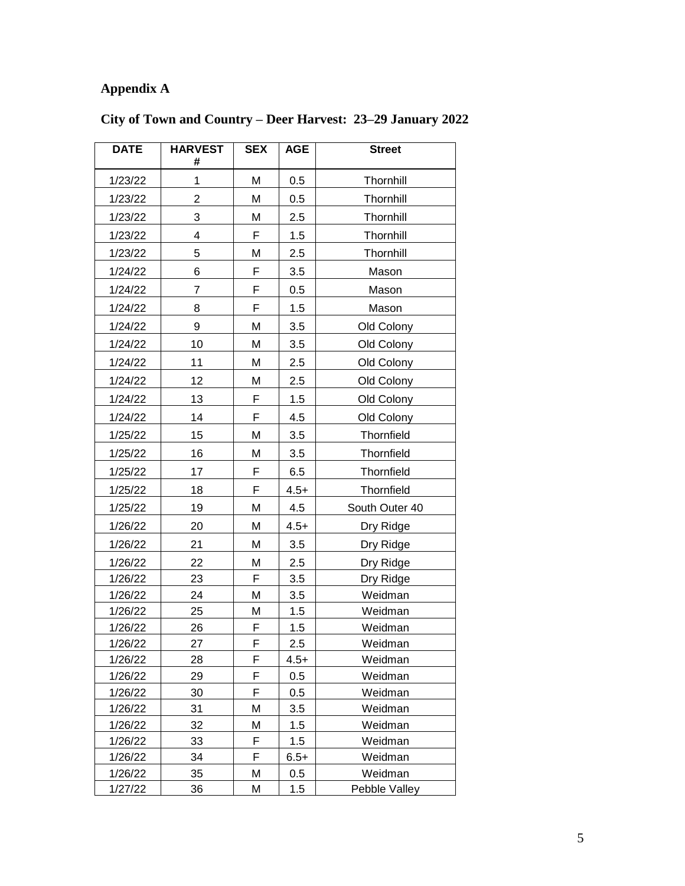# **Appendix A**

| <b>DATE</b>        | <b>HARVEST</b><br># | <b>SEX</b> | <b>AGE</b> | <b>Street</b>      |
|--------------------|---------------------|------------|------------|--------------------|
| 1/23/22            | 1                   | M          | 0.5        | Thornhill          |
| 1/23/22            | 2                   | Μ          | 0.5        | Thornhill          |
| 1/23/22            | 3                   | M          | 2.5        | Thornhill          |
| 1/23/22            | 4                   | F          | 1.5        | Thornhill          |
| 1/23/22            | 5                   | Μ          | 2.5        | Thornhill          |
| 1/24/22            | 6                   | F          | 3.5        | Mason              |
| 1/24/22            | 7                   | F          | 0.5        | Mason              |
| 1/24/22            | 8                   | F          | 1.5        | Mason              |
| 1/24/22            | 9                   | M          | 3.5        | Old Colony         |
| 1/24/22            | 10                  | Μ          | 3.5        | Old Colony         |
| 1/24/22            | 11                  | Μ          | 2.5        | Old Colony         |
| 1/24/22            | 12                  | Μ          | 2.5        | Old Colony         |
| 1/24/22            | 13                  | F          | 1.5        | Old Colony         |
| 1/24/22            | 14                  | F          | 4.5        | Old Colony         |
| 1/25/22            | 15                  | Μ          | 3.5        | Thornfield         |
|                    | 16                  | Μ          | 3.5        | Thornfield         |
| 1/25/22            | 17                  | F          | 6.5        | Thornfield         |
| 1/25/22            |                     |            |            |                    |
| 1/25/22            | 18                  | F          | $4.5+$     | Thornfield         |
| 1/25/22            | 19                  | Μ          | 4.5        | South Outer 40     |
| 1/26/22            | 20                  | M          | $4.5+$     | Dry Ridge          |
| 1/26/22            | 21                  | M          | 3.5        | Dry Ridge          |
| 1/26/22            | 22                  | М          | 2.5        | Dry Ridge          |
| 1/26/22            | 23                  | F          | 3.5        | Dry Ridge          |
| 1/26/22            | 24                  | M          | 3.5        | Weidman            |
| 1/26/22<br>1/26/22 | 25<br>26            | Μ<br>F     | 1.5<br>1.5 | Weidman<br>Weidman |
| 1/26/22            | 27                  | F          | 2.5        | Weidman            |
| 1/26/22            | 28                  | F          | $4.5+$     | Weidman            |
| 1/26/22            | 29                  | F          | 0.5        | Weidman            |
| 1/26/22            | 30                  | F          | 0.5        | Weidman            |
| 1/26/22            | 31                  | М          | 3.5        | Weidman            |
| 1/26/22            | 32                  | М          | 1.5        | Weidman            |
| 1/26/22            | 33                  | F          | 1.5        | Weidman            |
| 1/26/22            | 34                  | F          | $6.5+$     | Weidman            |
| 1/26/22            | 35                  | M          | 0.5        | Weidman            |
| 1/27/22            | 36                  | М          | 1.5        | Pebble Valley      |

# **City of Town and Country – Deer Harvest: 23–29 January 2022**